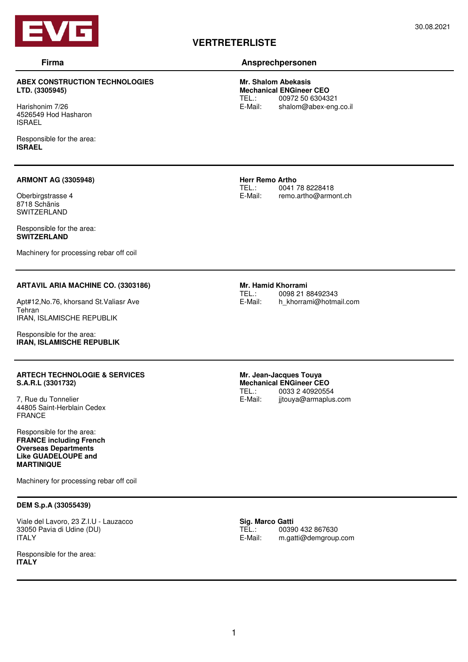

### **ABEX CONSTRUCTION TECHNOLOGIES LTD. (3305945)**

Harishonim 7/26 4526549 Hod Hasharon ISRAEL

Responsible for the area: **ISRAEL** 

#### **ARMONT AG (3305948)**

Oberbirgstrasse 4 8718 Schänis SWITZFRI AND

Responsible for the area: **SWITZERLAND** 

Machinery for processing rebar off coil

#### **ARTAVIL ARIA MACHINE CO. (3303186)**

Apt#12,No.76, khorsand St.Valiasr Ave Tehran IRAN, ISLAMISCHE REPUBLIK

Responsible for the area: **IRAN, ISLAMISCHE REPUBLIK** 

#### **ARTECH TECHNOLOGIE & SERVICES S.A.R.L (3301732)**

7, Rue du Tonnelier 44805 Saint-Herblain Cedex FRANCE

Responsible for the area: **FRANCE including French Overseas Departments Like GUADELOUPE and MARTINIQUE**

Machinery for processing rebar off coil

#### **DEM S.p.A (33055439)**

Viale del Lavoro, 23 Z.I.U - Lauzacco 33050 Pavia di Udine (DU) ITALY

Responsible for the area: **ITALY**

# **VERTRETERLISTE**

### **Firma Ansprechpersonen**

**Mr. Shalom Abekasis Mechanical ENGineer CEO**  00972 50 6304321 E-Mail: shalom@abex-eng.co.il

**Herr Remo Artho**<br>TEL.: 0041 0041 78 8228418 E-Mail: remo.artho@armont.ch

**Mr. Hamid Khorrami** TEL.: 0098 21 88492343<br>E-Mail: h khorrami@hotma h khorrami@hotmail.com

**Mr. Jean-Jacques Touya Mechanical ENGineer CEO**<br>TEL.: 0033 2 4092055 TEL.:  $0033240920554$ <br>E-Mail: iitouya@armaplus jjtouya@armaplus.com

Sig. Marco Gatti<br>TEL.: 0039 TEL.: 00390 432 867630<br>E-Mail: m.gatti@demgroup m.gatti@demgroup.com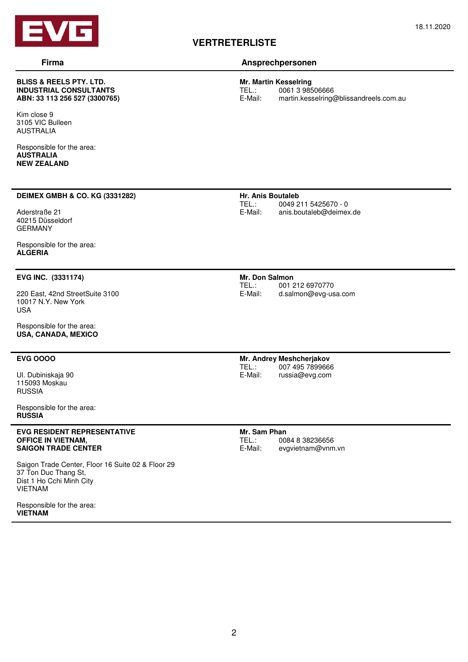

#### **BLISS & REELS PTY. LTD. INDUSTRIAL CONSULTANTS ABN: 33 113 256 527 (3300765)**

Kim close 9 3105 VIC Bulleen AUSTRALIA

Responsible for the area: **AUSTRALIA NEW ZEALAND** 

#### **DEIMEX GMBH & CO. KG (3331282)**

Aderstraße 21 40215 Düsseldorf GERMANY

Responsible for the area: **ALGERIA** 

#### **EVG INC. (3331174)**

220 East, 42nd StreetSuite 3100 10017 N.Y. New York USA

Responsible for the area: **USA, CANADA, MEXICO** 

### **EVG OOOO**

Ul. Dubiniskaja 90 115093 Moskau RUSSIA

Responsible for the area: **RUSSIA** 

#### **EVG RESIDENT REPRESENTATIVE OFFICE IN VIETNAM, SAIGON TRADE CENTER**

Saigon Trade Center, Floor 16 Suite 02 & Floor 29 37 Ton Duc Thang St, Dist 1 Ho Cchi Minh City VIETNAM

Responsible for the area: **VIETNAM** 

# **Firma Ansprechpersonen**

**VERTRETERLISTE**

**Mr. Martin Kesselring**  TEL.: 0061 3 98506666<br>E-Mail: martin.kesselring martin.kesselring@blissandreels.com.au

#### **Hr. Anis Boutaleb**  TEL.: 0049 211 5425670 - 0<br>F-Mail: anis.boutaleb@deimex anis.boutaleb@deimex.de

**Mr. Don Salmon**  TEL.: 001 212 6970770<br>E-Mail: d.salmon@evg-us d.salmon@evg-usa.com

**Mr. Andrey Meshcherjakov**  TEL.: 007 495 7899666<br>E-Mail: russia@evg.com russia@evg.com

**Mr. Sam Phan**  TEL.: 0084 8 38236656<br>E-Mail: evavietnam@vnm evgvietnam@vnm.vn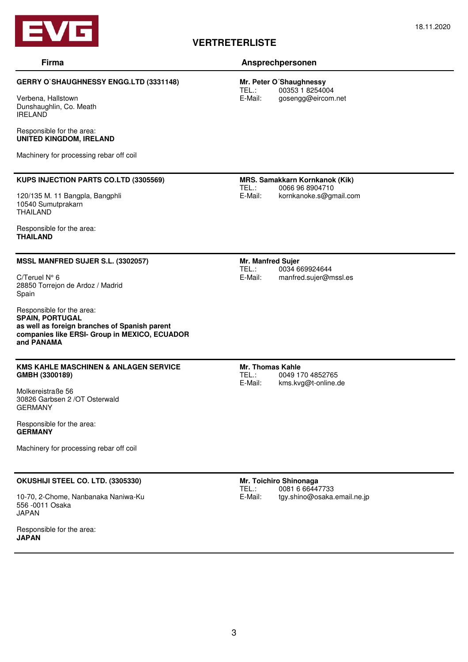

## **VERTRETERLISTE**

## **Firma Ansprechpersonen**

**Mr. Peter O´Shaughnessy**  TEL.: 00353 1 8254004<br>E-Mail: gosengg@eircom gosengg@eircom.net

Verbena, Hallstown Dunshaughlin, Co. Meath IRELAND

#### Responsible for the area: **UNITED KINGDOM, IRELAND**

Machinery for processing rebar off coil

#### **KUPS INJECTION PARTS CO.LTD (3305569)**

**GERRY O`SHAUGHNESSY ENGG.LTD (3331148)** 

120/135 M. 11 Bangpla, Bangphli 10540 Sumutprakarn THAILAND

Responsible for the area: **THAILAND** 

#### **MSSL MANFRED SUJER S.L. (3302057)**

C/Teruel N° 6 28850 Torrejon de Ardoz / Madrid Spain

Responsible for the area: **SPAIN, PORTUGAL as well as foreign branches of Spanish parent companies like ERSI- Group in MEXICO, ECUADOR and PANAMA** 

### **KMS KAHLE MASCHINEN & ANLAGEN SERVICE GMBH (3300189)**

Molkereistraße 56 30826 Garbsen 2 /OT Osterwald GERMANY

Responsible for the area: **GERMANY** 

Machinery for processing rebar off coil

#### **OKUSHIJI STEEL CO. LTD. (3305330)**

10-70, 2-Chome, Nanbanaka Naniwa-Ku 556 -0011 Osaka JAPAN

Responsible for the area: **JAPAN** 

**MRS. Samakkarn Kornkanok (Kik)**  0066 96 8904710 E-Mail: kornkanoke.s@gmail.com

**Mr. Manfred Sujer**  TEL.: 0034 669924644 E-Mail: manfred.sujer@mssl.es

**Mr. Thomas Kahle** 

TEL.: 0049 170 4852765<br>F-Mail: kms.kvg@t-online.c kms.kvg@t-online.de

**Mr. Toichiro Shinonaga**  TEL.: 0081 6 66447733<br>E-Mail: tav.shino@osaka. tgy.shino@osaka.email.ne.jp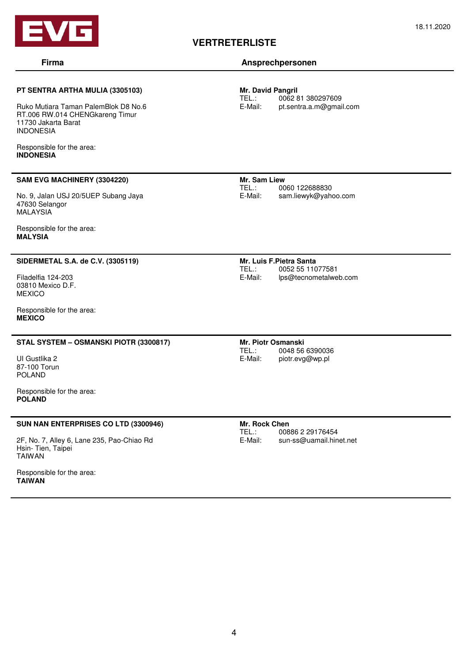

## **VERTRETERLISTE**

#### 18.11.2020

### **Firma Ansprechpersonen**

**Mr. David Pangril**  0062 81 380297609 E-Mail: pt.sentra.a.m@gmail.com

Ruko Mutiara Taman PalemBlok D8 No.6 RT.006 RW.014 CHENGkareng Timur 11730 Jakarta Barat INDONESIA

**PT SENTRA ARTHA MULIA (3305103)** 

Responsible for the area: **INDONESIA** 

#### **SAM EVG MACHINERY (3304220)**

No. 9, Jalan USJ 20/5UEP Subang Jaya 47630 Selangor **MALAYSIA** 

Responsible for the area: **MALYSIA** 

#### **SIDERMETAL S.A. de C.V. (3305119)**

Filadelfia 124-203 03810 Mexico D.F. MEXICO

Responsible for the area: **MEXICO** 

#### **STAL SYSTEM – OSMANSKI PIOTR (3300817)**

UI Gustlika 2 87-100 Torun POLAND

Responsible for the area: **POLAND** 

#### **SUN NAN ENTERPRISES CO LTD (3300946)**

2F, No. 7, Alley 6, Lane 235, Pao-Chiao Rd Hsin- Tien, Taipei TAIWAN

Responsible for the area: **TAIWAN** 

**Mr. Sam Liew**  0060 122688830 E-Mail: sam.liewyk@yahoo.com

**Mr. Luis F.Pietra Santa**  TEL.: 0052 55 11077581 E-Mail: lps@tecnometalweb.com

**Mr. Piotr Osmanski**  TEL.: 0048 56 6390036<br>E-Mail: piotr.evg@wp.pl piotr.evg@wp.pl

## **Mr. Rock Chen**

TEL.: 00886 2 29176454<br>E-Mail: sun-ss@uamail.hin sun-ss@uamail.hinet.net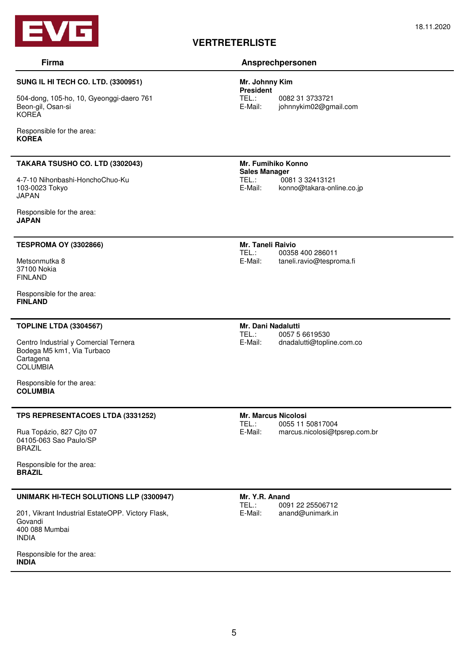

#### **SUNG IL HI TECH CO. LTD. (3300951)**

504-dong, 105-ho, 10, Gyeonggi-daero 761 Beon-gil, Osan-si KOREA

Responsible for the area: **KOREA** 

#### **TAKARA TSUSHO CO. LTD (3302043)**

4-7-10 Nihonbashi-HonchoChuo-Ku 103-0023 Tokyo JAPAN

Responsible for the area: **JAPAN** 

#### **TESPROMA OY (3302866)**

Metsonmutka 8 37100 Nokia FINLAND

Responsible for the area: **FINLAND** 

#### **TOPLINE LTDA (3304567)**

Centro Industrial y Comercial Ternera Bodega M5 km1, Via Turbaco **Cartagena COLUMBIA** 

Responsible for the area: **COLUMBIA** 

#### **TPS REPRESENTACOES LTDA (3331252)**

Rua Topázio, 827 Cjto 07 04105-063 Sao Paulo/SP BRAZIL

Responsible for the area: **BRAZIL** 

#### **UNIMARK HI-TECH SOLUTIONS LLP (3300947)**

201, Vikrant Industrial EstateOPP. Victory Flask, Govandi 400 088 Mumbai INDIA

Responsible for the area: **INDIA** 

# **VERTRETERLISTE**

### **Firma Ansprechpersonen**

**Mr. Johnny Kim President**  TEL.: 0082 31 3733721 E-Mail: johnnykim02@gmail.com

**Mr. Fumihiko Konno Sales Manager**<br>
TFL: 008 TEL.: 0081 3 32413121<br>E-Mail: konno@takara-onl konno@takara-online.co.jp

**Mr. Taneli Raivio**  TEL.: 00358 400 286011<br>E-Mail: taneli.ravio@tespro taneli.ravio@tesproma.fi

## **Mr. Dani Nadalutti**

TEL.: 0057 5 6619530<br>F-Mail: dnadalutti@toplin dnadalutti@topline.com.co

#### **Mr. Marcus Nicolosi**  0055 11 50817004 E-Mail: marcus.nicolosi@tpsrep.com.br

**Mr. Y.R. Anand**<br> **TFL:** 009 TEL.: 0091 22 25506712<br>E-Mail: anand@unimark.in anand@unimark.in